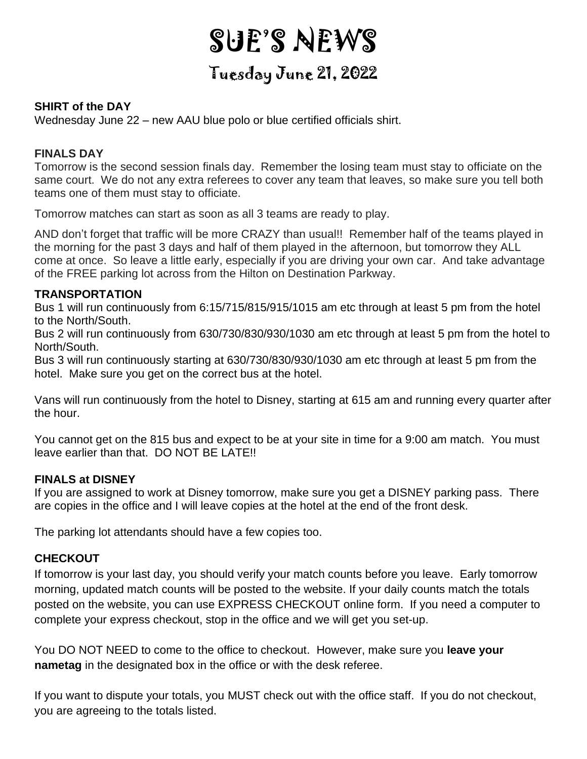# SUE'S NEWS

# Tuesday June 21, 2022

# **SHIRT of the DAY**

Wednesday June 22 – new AAU blue polo or blue certified officials shirt.

### **FINALS DAY**

Tomorrow is the second session finals day. Remember the losing team must stay to officiate on the same court. We do not any extra referees to cover any team that leaves, so make sure you tell both teams one of them must stay to officiate.

Tomorrow matches can start as soon as all 3 teams are ready to play.

AND don't forget that traffic will be more CRAZY than usual!! Remember half of the teams played in the morning for the past 3 days and half of them played in the afternoon, but tomorrow they ALL come at once. So leave a little early, especially if you are driving your own car. And take advantage of the FREE parking lot across from the Hilton on Destination Parkway.

#### **TRANSPORTATION**

Bus 1 will run continuously from 6:15/715/815/915/1015 am etc through at least 5 pm from the hotel to the North/South.

Bus 2 will run continuously from 630/730/830/930/1030 am etc through at least 5 pm from the hotel to North/South.

Bus 3 will run continuously starting at 630/730/830/930/1030 am etc through at least 5 pm from the hotel. Make sure you get on the correct bus at the hotel.

Vans will run continuously from the hotel to Disney, starting at 615 am and running every quarter after the hour.

You cannot get on the 815 bus and expect to be at your site in time for a 9:00 am match. You must leave earlier than that. DO NOT BE LATE!!

# **FINALS at DISNEY**

If you are assigned to work at Disney tomorrow, make sure you get a DISNEY parking pass. There are copies in the office and I will leave copies at the hotel at the end of the front desk.

The parking lot attendants should have a few copies too.

# **CHECKOUT**

If tomorrow is your last day, you should verify your match counts before you leave. Early tomorrow morning, updated match counts will be posted to the website. If your daily counts match the totals posted on the website, you can use EXPRESS CHECKOUT online form. If you need a computer to complete your express checkout, stop in the office and we will get you set-up.

You DO NOT NEED to come to the office to checkout. However, make sure you **leave your nametag** in the designated box in the office or with the desk referee.

If you want to dispute your totals, you MUST check out with the office staff. If you do not checkout, you are agreeing to the totals listed.